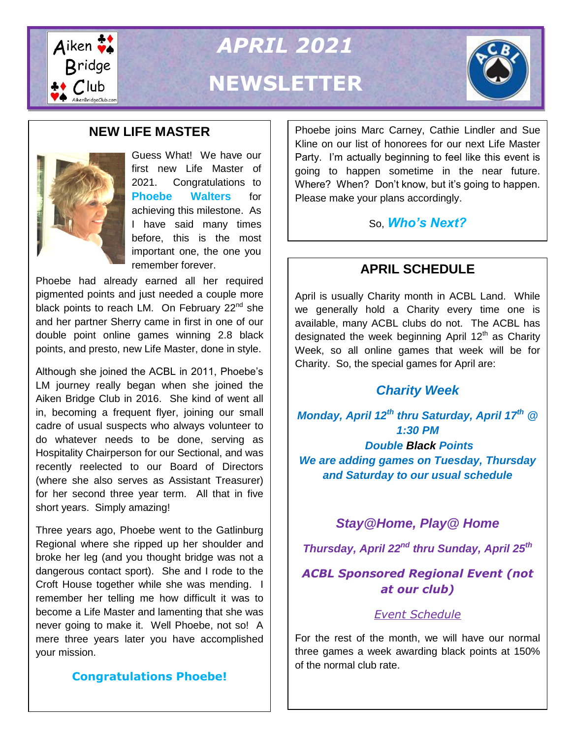

*APRIL 2021* **NEWSLETTER**



# **NEW LIFE MASTER**



Guess What! We have our first new Life Master of 2021. Congratulations to **Phoebe Walters** for achieving this milestone. As I have said many times before, this is the most important one, the one you remember forever. **APRIL SCHEDULE**

Phoebe had already earned all her required pigmented points and just needed a couple more black points to reach LM. On February  $22<sup>nd</sup>$  she and her partner Sherry came in first in one of our double point online games winning 2.8 black points, and presto, new Life Master, done in style.

Although she joined the ACBL in 2011, Phoebe's LM journey really began when she joined the Aiken Bridge Club in 2016. She kind of went all in, becoming a frequent flyer, joining our small cadre of usual suspects who always volunteer to do whatever needs to be done, serving as Hospitality Chairperson for our Sectional, and was recently reelected to our Board of Directors (where she also serves as Assistant Treasurer) for her second three year term. All that in five short years. Simply amazing!

Three years ago, Phoebe went to the Gatlinburg Regional where she ripped up her shoulder and broke her leg (and you thought bridge was not a dangerous contact sport). She and I rode to the Croft House together while she was mending. I remember her telling me how difficult it was to become a Life Master and lamenting that she was never going to make it. Well Phoebe, not so! A mere three years later you have accomplished your mission.

# **Congratulations Phoebe!**

Phoebe joins Marc Carney, Cathie Lindler and Sue Kline on our list of honorees for our next Life Master Party. I'm actually beginning to feel like this event is going to happen sometime in the near future. Where? When? Don't know, but it's going to happen. Please make your plans accordingly.

So, *Who's Next?*

April is usually Charity month in ACBL Land. While we generally hold a Charity every time one is available, many ACBL clubs do not. The ACBL has designated the week beginning April  $12<sup>th</sup>$  as Charity Week, so all online games that week will be for Charity. So, the special games for April are:

# *Charity Week*

*Monday, April 12th thru Saturday, April 17th @ 1:30 PM Double Black Points We are adding games on Tuesday, Thursday and Saturday to our usual schedule*

# *Stay@Home, Play@ Home*

*Thursday, April 22nd thru Sunday, April 25th* 

# *ACBL Sponsored Regional Event (not at our club)*

# *[Event Schedule](https://web2.acbl.org/documentLibrary/play/SAH_PAH_Sched0421.pdf)*

For the rest of the month, we will have our normal three games a week awarding black points at 150% of the normal club rate.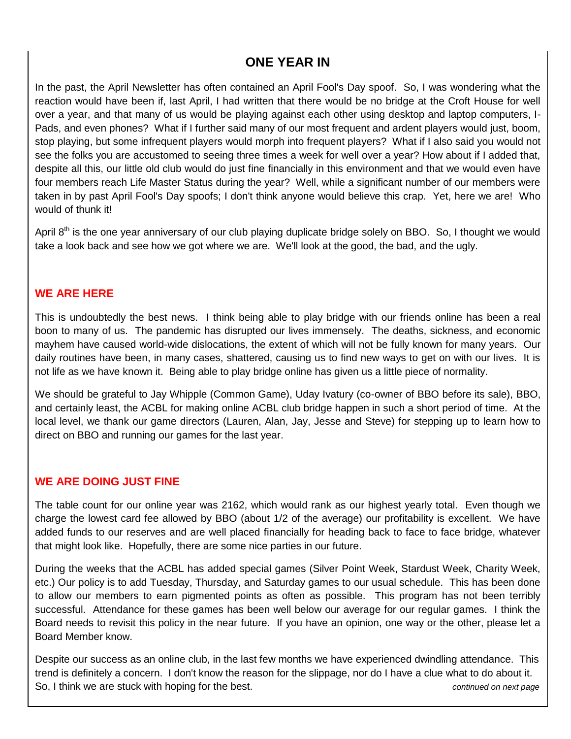# **ONE YEAR IN**

In the past, the April Newsletter has often contained an April Fool's Day spoof. So, I was wondering what the reaction would have been if, last April, I had written that there would be no bridge at the Croft House for well over a year, and that many of us would be playing against each other using desktop and laptop computers, I-Pads, and even phones? What if I further said many of our most frequent and ardent players would just, boom, stop playing, but some infrequent players would morph into frequent players? What if I also said you would not see the folks you are accustomed to seeing three times a week for well over a year? How about if I added that, despite all this, our little old club would do just fine financially in this environment and that we would even have four members reach Life Master Status during the year? Well, while a significant number of our members were taken in by past April Fool's Day spoofs; I don't think anyone would believe this crap. Yet, here we are! Who would of thunk it!

April 8<sup>th</sup> is the one year anniversary of our club playing duplicate bridge solely on BBO. So, I thought we would take a look back and see how we got where we are. We'll look at the good, the bad, and the ugly.

#### **WE ARE HERE**

This is undoubtedly the best news. I think being able to play bridge with our friends online has been a real boon to many of us. The pandemic has disrupted our lives immensely. The deaths, sickness, and economic mayhem have caused world-wide dislocations, the extent of which will not be fully known for many years. Our daily routines have been, in many cases, shattered, causing us to find new ways to get on with our lives. It is not life as we have known it. Being able to play bridge online has given us a little piece of normality.

We should be grateful to Jay Whipple (Common Game), Uday Ivatury (co-owner of BBO before its sale), BBO, and certainly least, the ACBL for making online ACBL club bridge happen in such a short period of time. At the local level, we thank our game directors (Lauren, Alan, Jay, Jesse and Steve) for stepping up to learn how to direct on BBO and running our games for the last year.

#### **WE ARE DOING JUST FINE**

The table count for our online year was 2162, which would rank as our highest yearly total. Even though we charge the lowest card fee allowed by BBO (about 1/2 of the average) our profitability is excellent. We have added funds to our reserves and are well placed financially for heading back to face to face bridge, whatever that might look like. Hopefully, there are some nice parties in our future.

During the weeks that the ACBL has added special games (Silver Point Week, Stardust Week, Charity Week, etc.) Our policy is to add Tuesday, Thursday, and Saturday games to our usual schedule. This has been done to allow our members to earn pigmented points as often as possible. This program has not been terribly successful. Attendance for these games has been well below our average for our regular games. I think the Board needs to revisit this policy in the near future. If you have an opinion, one way or the other, please let a Board Member know.

Despite our success as an online club, in the last few months we have experienced dwindling attendance. This trend is definitely a concern. I don't know the reason for the slippage, nor do I have a clue what to do about it. So, I think we are stuck with hoping for the best. *continued on next page*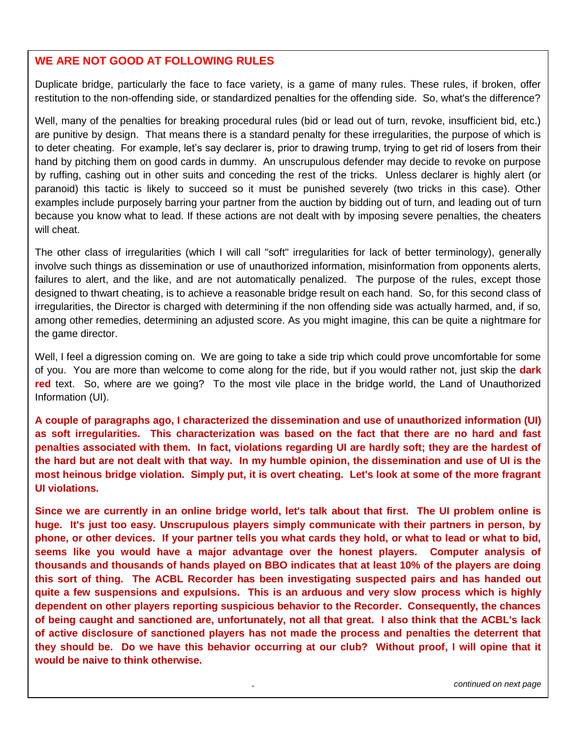#### **WE ARE NOT GOOD AT FOLLOWING RULES**

Duplicate bridge, particularly the face to face variety, is a game of many rules. These rules, if broken, offer restitution to the non-offending side, or standardized penalties for the offending side. So, what's the difference?

socation y-<br>will cheat. Well, many of the penalties for breaking procedural rules (bid or lead out of turn, revoke, insufficient bid, etc.) are punitive by design. That means there is a standard penalty for these irregularities, the purpose of which is to deter cheating. For example, let's say declarer is, prior to drawing trump, trying to get rid of losers from their hand by pitching them on good cards in dummy. An unscrupulous defender may decide to revoke on purpose by ruffing, cashing out in other suits and conceding the rest of the tricks. Unless declarer is highly alert (or paranoid) this tactic is likely to succeed so it must be punished severely (two tricks in this case). Other examples include purposely barring your partner from the auction by bidding out of turn, and leading out of turn because you know what to lead. If these actions are not dealt with by imposing severe penalties, the cheaters

The other class of irregularities (which I will call "soft" irregularities for lack of better terminology), generally involve such things as dissemination or use of unauthorized information, misinformation from opponents alerts, failures to alert, and the like, and are not automatically penalized. The purpose of the rules, except those designed to thwart cheating, is to achieve a reasonable bridge result on each hand. So, for this second class of irregularities, the Director is charged with determining if the non offending side was actually harmed, and, if so, among other remedies, determining an adjusted score. As you might imagine, this can be quite a nightmare for the game director.

Well, I feel a digression coming on. We are going to take a side trip which could prove uncomfortable for some of you. You are more than welcome to come along for the ride, but if you would rather not, just skip the **dark red** text. So, where are we going? To the most vile place in the bridge world, the Land of Unauthorized Information (UI).

**A couple of paragraphs ago, I characterized the dissemination and use of unauthorized information (UI) as soft irregularities. This characterization was based on the fact that there are no hard and fast penalties associated with them. In fact, violations regarding UI are hardly soft; they are the hardest of the hard but are not dealt with that way. In my humble opinion, the dissemination and use of UI is the most heinous bridge violation. Simply put, it is overt cheating. Let's look at some of the more fragrant UI violations.**

**Falling Down Bridge of being caught and sanctioned are, unfortunately, not all that great. I also think that the ACBL's lack Since we are currently in an online bridge world, let's talk about that first. The UI problem online is huge. It's just too easy. Unscrupulous players simply communicate with their partners in person, by phone, or other devices. If your partner tells you what cards they hold, or what to lead or what to bid, seems like you would have a major advantage over the honest players. Computer analysis of thousands and thousands of hands played on BBO indicates that at least 10% of the players are doing this sort of thing. The ACBL Recorder has been investigating suspected pairs and has handed out quite a few suspensions and expulsions. This is an arduous and very slow process which is highly dependent on other players reporting suspicious behavior to the Recorder. Consequently, the chances of active disclosure of sanctioned players has not made the process and penalties the deterrent that they should be. Do we have this behavior occurring at our club? Without proof, I will opine that it would be naive to think otherwise.**

> . *continued on next page continued on next page*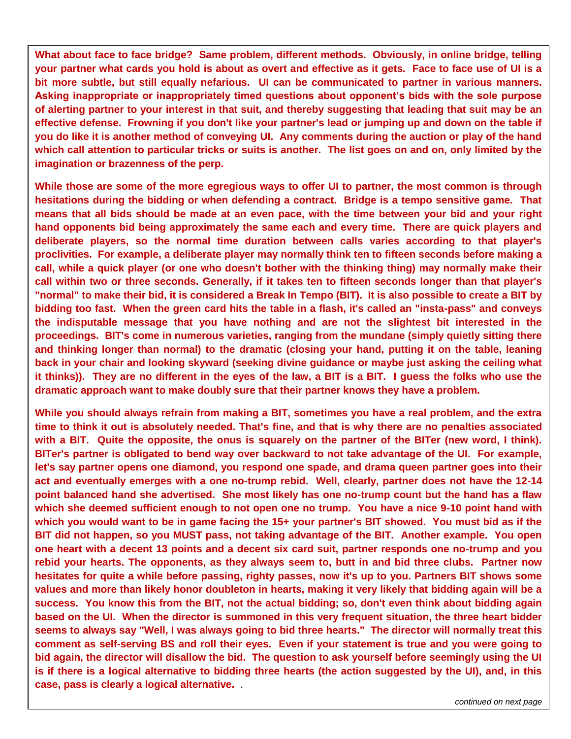**What about face to face bridge? Same problem, different methods. Obviously, in online bridge, telling your partner what cards you hold is about as overt and effective as it gets. Face to face use of UI is a bit more subtle, but still equally nefarious. UI can be communicated to partner in various manners. Asking inappropriate or inappropriately timed questions about opponent's bids with the sole purpose of alerting partner to your interest in that suit, and thereby suggesting that leading that suit may be an effective defense. Frowning if you don't like your partner's lead or jumping up and down on the table if you do like it is another method of conveying UI. Any comments during the auction or play of the hand which call attention to particular tricks or suits is another. The list goes on and on, only limited by the imagination or brazenness of the perp.**

**While those are some of the more egregious ways to offer UI to partner, the most common is through hesitations during the bidding or when defending a contract. Bridge is a tempo sensitive game. That means that all bids should be made at an even pace, with the time between your bid and your right hand opponents bid being approximately the same each and every time. There are quick players and deliberate players, so the normal time duration between calls varies according to that player's proclivities. For example, a deliberate player may normally think ten to fifteen seconds before making a call, while a quick player (or one who doesn't bother with the thinking thing) may normally make their call within two or three seconds. Generally, if it takes ten to fifteen seconds longer than that player's "normal" to make their bid, it is considered a Break In Tempo (BIT). It is also possible to create a BIT by bidding too fast. When the green card hits the table in a flash, it's called an "insta-pass" and conveys the indisputable message that you have nothing and are not the slightest bit interested in the proceedings. BIT's come in numerous varieties, ranging from the mundane (simply quietly sitting there and thinking longer than normal) to the dramatic (closing your hand, putting it on the table, leaning back in your chair and looking skyward (seeking divine guidance or maybe just asking the ceiling what it thinks)). They are no different in the eyes of the law, a BIT is a BIT. I guess the folks who use the dramatic approach want to make doubly sure that their partner knows they have a problem.**

**While you should always refrain from making a BIT, sometimes you have a real problem, and the extra time to think it out is absolutely needed. That's fine, and that is why there are no penalties associated with a BIT. Quite the opposite, the onus is squarely on the partner of the BITer (new word, I think). BITer's partner is obligated to bend way over backward to not take advantage of the UI. For example, let's say partner opens one diamond, you respond one spade, and drama queen partner goes into their act and eventually emerges with a one no-trump rebid. Well, clearly, partner does not have the 12-14 point balanced hand she advertised. She most likely has one no-trump count but the hand has a flaw which she deemed sufficient enough to not open one no trump. You have a nice 9-10 point hand with which you would want to be in game facing the 15+ your partner's BIT showed. You must bid as if the BIT did not happen, so you MUST pass, not taking advantage of the BIT. Another example. You open one heart with a decent 13 points and a decent six card suit, partner responds one no-trump and you rebid your hearts. The opponents, as they always seem to, butt in and bid three clubs. Partner now hesitates for quite a while before passing, righty passes, now it's up to you. Partners BIT shows some values and more than likely honor doubleton in hearts, making it very likely that bidding again will be a success. You know this from the BIT, not the actual bidding; so, don't even think about bidding again based on the UI. When the director is summoned in this very frequent situation, the three heart bidder seems to always say "Well, I was always going to bid three hearts." The director will normally treat this comment as self-serving BS and roll their eyes. Even if your statement is true and you were going to bid again, the director will disallow the bid. The question to ask yourself before seemingly using the UI is if there is a logical alternative to bidding three hearts (the action suggested by the UI), and, in this case, pass is clearly a logical alternative.** .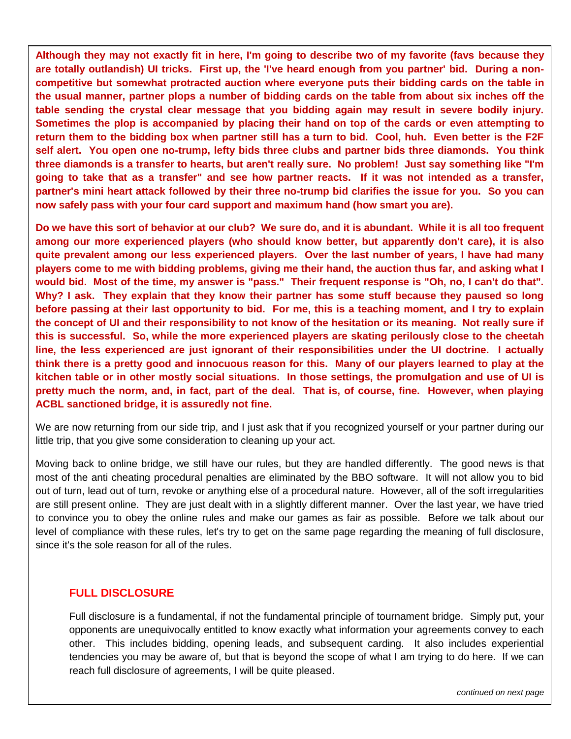**Although they may not exactly fit in here, I'm going to describe two of my favorite (favs because they are totally outlandish) UI tricks. First up, the 'I've heard enough from you partner' bid. During a noncompetitive but somewhat protracted auction where everyone puts their bidding cards on the table in the usual manner, partner plops a number of bidding cards on the table from about six inches off the table sending the crystal clear message that you bidding again may result in severe bodily injury. Sometimes the plop is accompanied by placing their hand on top of the cards or even attempting to return them to the bidding box when partner still has a turn to bid. Cool, huh. Even better is the F2F self alert. You open one no-trump, lefty bids three clubs and partner bids three diamonds. You think three diamonds is a transfer to hearts, but aren't really sure. No problem! Just say something like "I'm going to take that as a transfer" and see how partner reacts. If it was not intended as a transfer, partner's mini heart attack followed by their three no-trump bid clarifies the issue for you. So you can now safely pass with your four card support and maximum hand (how smart you are).**

**Do we have this sort of behavior at our club? We sure do, and it is abundant. While it is all too frequent among our more experienced players (who should know better, but apparently don't care), it is also quite prevalent among our less experienced players. Over the last number of years, I have had many players come to me with bidding problems, giving me their hand, the auction thus far, and asking what I would bid. Most of the time, my answer is "pass." Their frequent response is "Oh, no, I can't do that". Why? I ask. They explain that they know their partner has some stuff because they paused so long before passing at their last opportunity to bid. For me, this is a teaching moment, and I try to explain the concept of UI and their responsibility to not know of the hesitation or its meaning. Not really sure if this is successful. So, while the more experienced players are skating perilously close to the cheetah line, the less experienced are just ignorant of their responsibilities under the UI doctrine. I actually think there is a pretty good and innocuous reason for this. Many of our players learned to play at the kitchen table or in other mostly social situations. In those settings, the promulgation and use of UI is pretty much the norm, and, in fact, part of the deal. That is, of course, fine. However, when playing ACBL sanctioned bridge, it is assuredly not fine.**

We are now returning from our side trip, and I just ask that if you recognized yourself or your partner during our little trip, that you give some consideration to cleaning up your act.

Moving back to online bridge, we still have our rules, but they are handled differently. The good news is that most of the anti cheating procedural penalties are eliminated by the BBO software. It will not allow you to bid out of turn, lead out of turn, revoke or anything else of a procedural nature. However, all of the soft irregularities are still present online. They are just dealt with in a slightly different manner. Over the last year, we have tried to convince you to obey the online rules and make our games as fair as possible. Before we talk about our level of compliance with these rules, let's try to get on the same page regarding the meaning of full disclosure, since it's the sole reason for all of the rules.

#### **FULL DISCLOSURE**

Full disclosure is a fundamental, if not the fundamental principle of tournament bridge. Simply put, your opponents are unequivocally entitled to know exactly what information your agreements convey to each other. This includes bidding, opening leads, and subsequent carding. It also includes experiential tendencies you may be aware of, but that is beyond the scope of what I am trying to do here. If we can reach full disclosure of agreements, I will be quite pleased.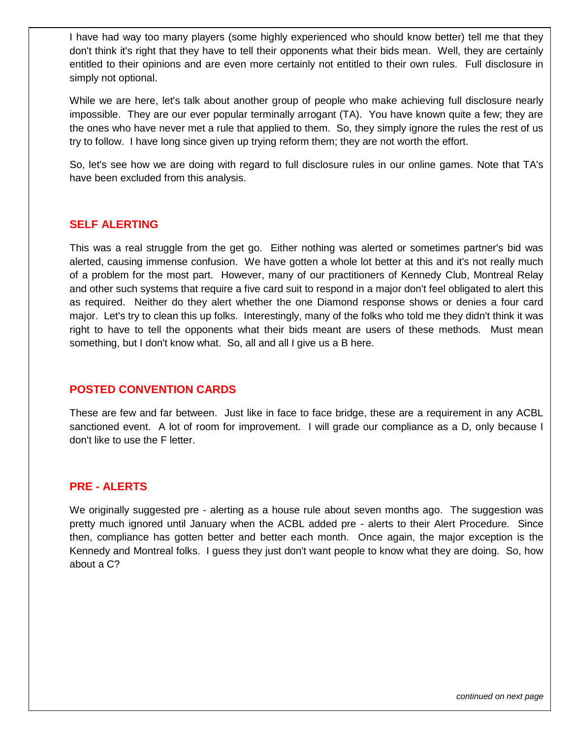I have had way too many players (some highly experienced who should know better) tell me that they don't think it's right that they have to tell their opponents what their bids mean. Well, they are certainly entitled to their opinions and are even more certainly not entitled to their own rules. Full disclosure in simply not optional.

While we are here, let's talk about another group of people who make achieving full disclosure nearly impossible. They are our ever popular terminally arrogant (TA). You have known quite a few; they are the ones who have never met a rule that applied to them. So, they simply ignore the rules the rest of us try to follow. I have long since given up trying reform them; they are not worth the effort.

So, let's see how we are doing with regard to full disclosure rules in our online games. Note that TA's have been excluded from this analysis.

#### **SELF ALERTING**

This was a real struggle from the get go. Either nothing was alerted or sometimes partner's bid was alerted, causing immense confusion. We have gotten a whole lot better at this and it's not really much of a problem for the most part. However, many of our practitioners of Kennedy Club, Montreal Relay and other such systems that require a five card suit to respond in a major don't feel obligated to alert this as required. Neither do they alert whether the one Diamond response shows or denies a four card major. Let's try to clean this up folks. Interestingly, many of the folks who told me they didn't think it was right to have to tell the opponents what their bids meant are users of these methods. Must mean something, but I don't know what. So, all and all I give us a B here.

#### **POSTED CONVENTION CARDS**

These are few and far between. Just like in face to face bridge, these are a requirement in any ACBL sanctioned event. A lot of room for improvement. I will grade our compliance as a D, only because I don't like to use the F letter.

#### **PRE - ALERTS**

We originally suggested pre - alerting as a house rule about seven months ago. The suggestion was pretty much ignored until January when the ACBL added pre - alerts to their Alert Procedure. Since then, compliance has gotten better and better each month. Once again, the major exception is the Kennedy and Montreal folks. I guess they just don't want people to know what they are doing. So, how about a C?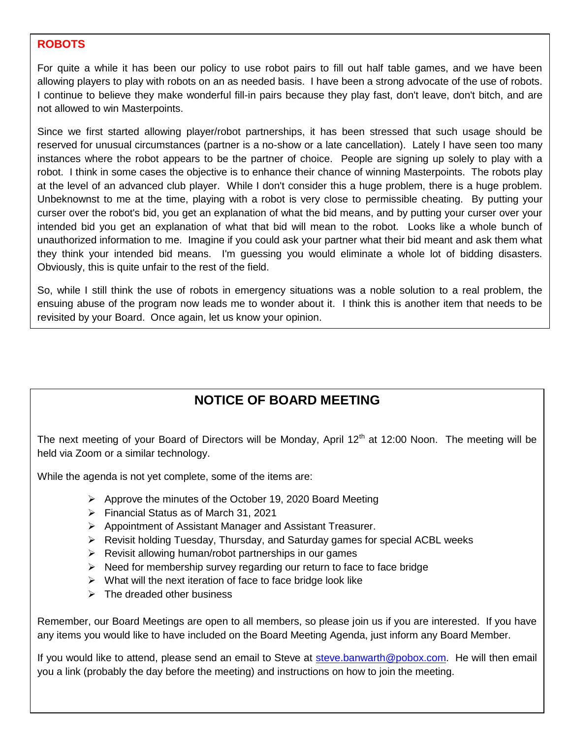#### **ROBOTS**

For quite a while it has been our policy to use robot pairs to fill out half table games, and we have been allowing players to play with robots on an as needed basis. I have been a strong advocate of the use of robots. I continue to believe they make wonderful fill-in pairs because they play fast, don't leave, don't bitch, and are not allowed to win Masterpoints.

Since we first started allowing player/robot partnerships, it has been stressed that such usage should be reserved for unusual circumstances (partner is a no-show or a late cancellation). Lately I have seen too many instances where the robot appears to be the partner of choice. People are signing up solely to play with a robot. I think in some cases the objective is to enhance their chance of winning Masterpoints. The robots play at the level of an advanced club player. While I don't consider this a huge problem, there is a huge problem. Unbeknownst to me at the time, playing with a robot is very close to permissible cheating. By putting your curser over the robot's bid, you get an explanation of what the bid means, and by putting your curser over your intended bid you get an explanation of what that bid will mean to the robot. Looks like a whole bunch of unauthorized information to me. Imagine if you could ask your partner what their bid meant and ask them what they think your intended bid means. I'm guessing you would eliminate a whole lot of bidding disasters. Obviously, this is quite unfair to the rest of the field.

So, while I still think the use of robots in emergency situations was a noble solution to a real problem, the ensuing abuse of the program now leads me to wonder about it. I think this is another item that needs to be revisited by your Board. Once again, let us know your opinion.

# **NOTICE OF BOARD MEETING**

The next meeting of your Board of Directors will be Monday, April  $12<sup>th</sup>$  at 12:00 Noon. The meeting will be held via Zoom or a similar technology.

While the agenda is not yet complete, some of the items are:

- Approve the minutes of the October 19, 2020 Board Meeting
- Financial Status as of March 31, 2021
- Appointment of Assistant Manager and Assistant Treasurer.
- $\triangleright$  Revisit holding Tuesday, Thursday, and Saturday games for special ACBL weeks
- $\triangleright$  Revisit allowing human/robot partnerships in our games
- $\triangleright$  Need for membership survey regarding our return to face to face bridge
- $\triangleright$  What will the next iteration of face to face bridge look like
- $\triangleright$  The dreaded other business

Remember, our Board Meetings are open to all members, so please join us if you are interested. If you have any items you would like to have included on the Board Meeting Agenda, just inform any Board Member.

If you would like to attend, please send an email to Steve at [steve.banwarth@pobox.com.](mailto:steve.banwarth@pobox.com) He will then email you a link (probably the day before the meeting) and instructions on how to join the meeting.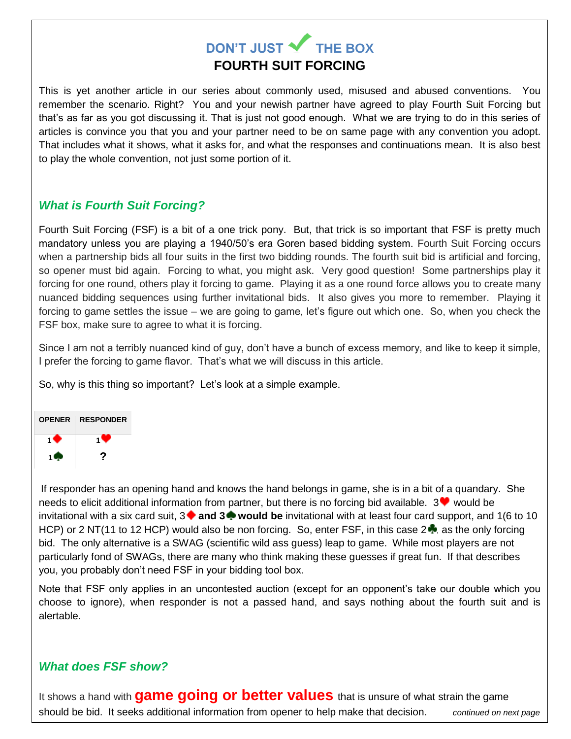# **DON'T JUST V THE BOX FOURTH SUIT FORCING**

This is yet another article in our series about commonly used, misused and abused conventions. You remember the scenario. Right? You and your newish partner have agreed to play Fourth Suit Forcing but that's as far as you got discussing it. That is just not good enough. What we are trying to do in this series of articles is convince you that you and your partner need to be on same page with any convention you adopt. That includes what it shows, what it asks for, and what the responses and continuations mean. It is also best to play the whole convention, not just some portion of it.

# *What is Fourth Suit Forcing?*

Fourth Suit Forcing (FSF) is a bit of a one trick pony. But, that trick is so important that FSF is pretty much mandatory unless you are playing a 1940/50's era Goren based bidding system. Fourth Suit Forcing occurs when a partnership bids all four suits in the first two bidding rounds. The fourth suit bid is artificial and forcing, so opener must bid again. Forcing to what, you might ask. Very good question! Some partnerships play it forcing for one round, others play it forcing to game. Playing it as a one round force allows you to create many nuanced bidding sequences using further invitational bids. It also gives you more to remember. Playing it forcing to game settles the issue – we are going to game, let's figure out which one. So, when you check the FSF box, make sure to agree to what it is forcing.

Since I am not a terribly nuanced kind of guy, don't have a bunch of excess memory, and like to keep it simple, I prefer the forcing to game flavor. That's what we will discuss in this article.

So, why is this thing so important? Let's look at a simple example.



If responder has an opening hand and knows the hand belongs in game, she is in a bit of a quandary. She needs to elicit additional information from partner, but there is no forcing bid available.  $3\blacktriangledown$  would be invitational with a six card suit, 3 **and 3 would be** invitational with at least four card support, and 1(6 to 10 HCP) or 2 NT(11 to 12 HCP) would also be non forcing. So, enter FSF, in this case  $2\bullet$ , as the only forcing bid. The only alternative is a SWAG (scientific wild ass guess) leap to game. While most players are not particularly fond of SWAGs, there are many who think making these guesses if great fun. If that describes you, you probably don't need FSF in your bidding tool box.

Note that FSF only applies in an uncontested auction (except for an opponent's take our double which you choose to ignore), when responder is not a passed hand, and says nothing about the fourth suit and is alertable.

# *What does FSF show?*

It shows a hand with **game going or better values** that is unsure of what strain the game should be bid. It seeks additional information from opener to help make that decision. *continued on next page*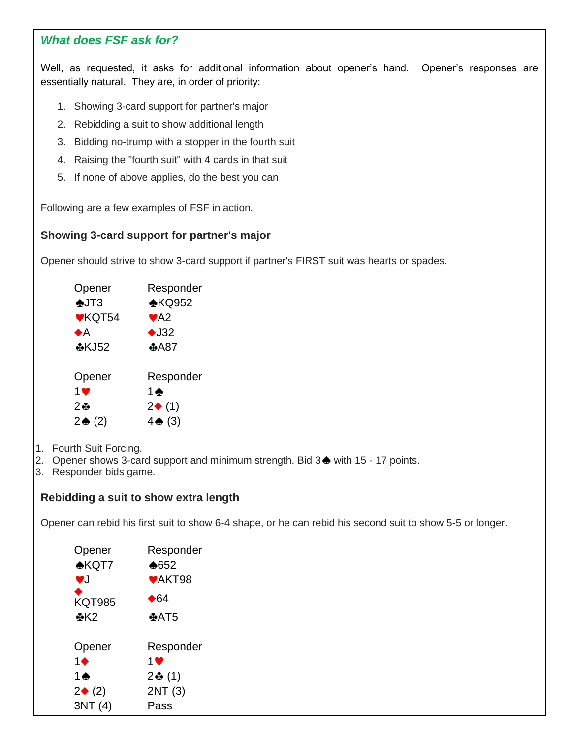# *What does FSF ask for?*

Well, as requested, it asks for additional information about opener's hand. Opener's responses are essentially naturaI. They are, in order of priority:

- 1. Showing 3-card support for partner's major
- 2. Rebidding a suit to show additional length
- 3. Bidding no-trump with a stopper in the fourth suit
- 4. Raising the "fourth suit" with 4 cards in that suit
- 5. If none of above applies, do the best you can

Following are a few examples of FSF in action.

# **Showing 3-card support for partner's major**

Opener should strive to show 3-card support if partner's FIRST suit was hearts or spades.

| Opener               | Responder               |
|----------------------|-------------------------|
| $\bigtriangleup$ JT3 | $\triangle$ KQ952       |
| <b>♥KQT54</b>        | $\blacktriangledown$ A2 |
| ♠А                   | $\bigstar$ J32          |
| <b>⊕KJ52</b>         | <b>♣A87</b>             |
|                      |                         |
| Opener               | Responder               |
| 1 <sup>2</sup>       | 1 $\spadesuit$          |
| 2⊕                   | $2\blacklozenge$ (1)    |
| $2 \triangleq (2)$   | $4 \triangleq (3)$      |
|                      |                         |

- 1. Fourth Suit Forcing.
- 2. Opener shows 3-card support and minimum strength. Bid 3 ♦ with 15 17 points.
- 3. Responder bids game.

# **Rebidding a suit to show extra length**

Opener can rebid his first suit to show 6-4 shape, or he can rebid his second suit to show 5-5 or longer.

| Opener               | Responder     |
|----------------------|---------------|
| $\triangle$ KQT7     | $*652$        |
| vJ                   | <b>♥AKT98</b> |
| ٠<br><b>KQT985</b>   | ♦64           |
| ⊕K2                  | $+AT5$        |
|                      |               |
| Opener               | Responder     |
| 1♦                   | 1 ♥           |
| 1♠                   | 2♣(1)         |
| $2\blacklozenge$ (2) | 2NT (3)       |
| 3NT (4)              | Pass          |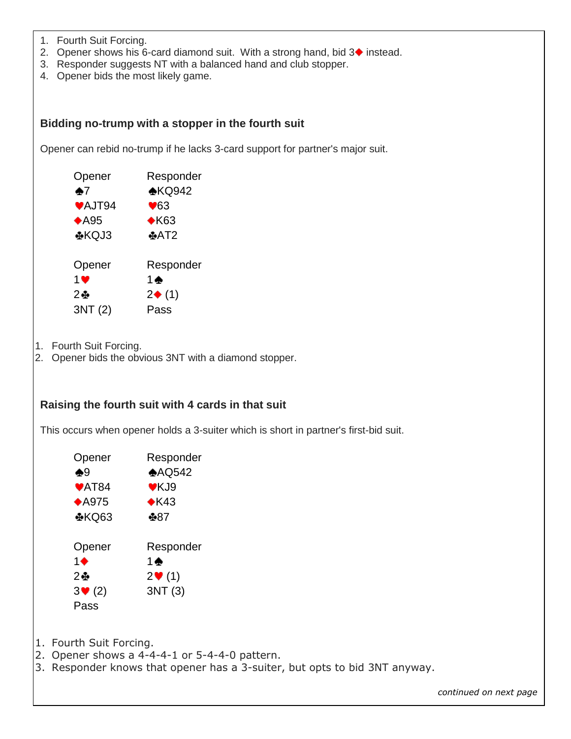- 1. Fourth Suit Forcing.
- 2. Opener shows his 6-card diamond suit. With a strong hand, bid  $3\blacklozenge$  instead.
- 3. Responder suggests NT with a balanced hand and club stopper.
- 4. Opener bids the most likely game.

#### **Bidding no-trump with a stopper in the fourth suit**

Opener can rebid no-trump if he lacks 3-card support for partner's major suit.

| Opener         | Responder               |
|----------------|-------------------------|
| $\clubsuit$ 7  | $\triangle$ KQ942       |
| <b>♥AJT94</b>  | $\blacktriangledown$ 63 |
| $*$ A95        | $\triangle$ K63         |
| <b>⊕KQJ3</b>   | $\pm$ AT2               |
|                |                         |
| Opener         | Responder               |
| 1 <sup>2</sup> | 1♠                      |
| $2 +$          | $2\blacklozenge$ (1)    |
| 3NT (2)        | Pass                    |

- 1. Fourth Suit Forcing.
- 2. Opener bids the obvious 3NT with a diamond stopper.

#### **Raising the fourth suit with 4 cards in that suit**

This occurs when opener holds a 3-suiter which is short in partner's first-bid suit.

| Opener                     | Responder       |
|----------------------------|-----------------|
| ♠9                         | AQ542           |
| $\blacktriangleright$ AT84 | $V$ KJ9         |
| $*$ A975                   | $\triangle$ K43 |
| ⊕KQ63                      | ♣87             |
| Opener                     | Responder       |
| 1♠                         | $1 \spadesuit$  |
| 2 ⊕                        | $2 \cdot (1)$   |
| $3 \vee 2$                 | 3NT (3)         |
| Pass                       |                 |

1. Fourth Suit Forcing.

- 2. Opener shows a 4-4-4-1 or 5-4-4-0 pattern.
- 3. Responder knows that opener has a 3-suiter, but opts to bid 3NT anyway.

*continued on next page*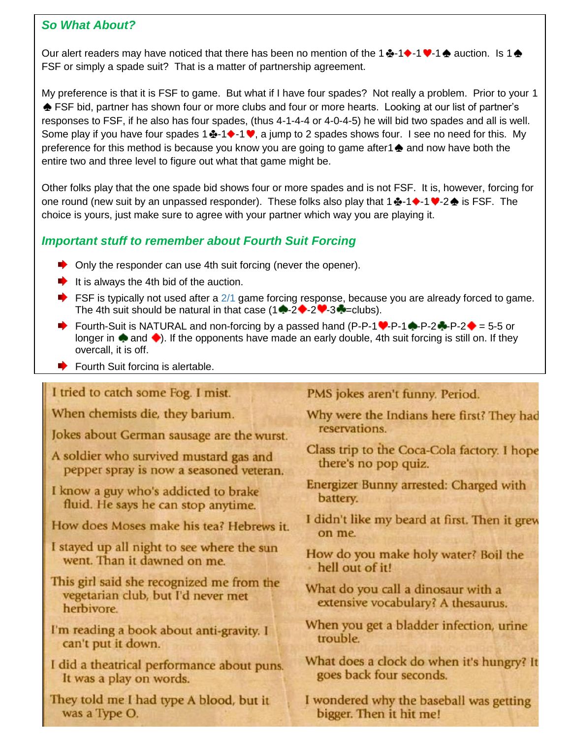# *So What About?*

Our alert readers may have noticed that there has been no mention of the 1  $\div$  1  $\div$  1  $\div$  auction. Is 1  $\div$ FSF or simply a spade suit? That is a matter of partnership agreement.

My preference is that it is FSF to game. But what if I have four spades? Not really a problem. Prior to your 1  $\triangle$  FSF bid, partner has shown four or more clubs and four or more hearts. Looking at our list of partner's responses to FSF, if he also has four spades, (thus 4-1-4-4 or 4-0-4-5) he will bid two spades and all is well. Some play if you have four spades 1 $\clubsuit$ -1 $\blacklozenge$ -1  $\blacklozenge$ , a jump to 2 spades shows four. I see no need for this. My preference for this method is because you know you are going to game after  $\triangle$  and now have both the entire two and three level to figure out what that game might be.

Other folks play that the one spade bid shows four or more spades and is not FSF. It is, however, forcing for one round (new suit by an unpassed responder). These folks also play that  $1 \oplus 1 \rightarrow 1 \oplus 2 \oplus 1$  is FSF. The choice is yours, just make sure to agree with your partner which way you are playing it.

# *Important stuff to remember about Fourth Suit Forcing*

- Only the responder can use 4th suit forcing (never the opener).
- It is always the 4th bid of the auction.
- $\blacktriangleright$  FSF is typically not used after a [2/1](https://www.larryco.com/bridge-learning-center/detail/109) game forcing response, because you are already forced to game. The 4th suit should be natural in that case  $(1 - 2 - 2 - 3 - \text{clubs})$ .
- Fourth-Suit is NATURAL and non-forcing by a passed hand (P-P-1  $\rightarrow$  P-1  $\rightarrow$  P-2  $\rightarrow$  P-2  $\rightarrow$  = 5-5 or longer in  $\spadesuit$  and  $\spadesuit$ ). If the opponents have made an early double, 4th suit forcing is still on. If they overcall, it is off.
- $\blacktriangleright$  Fourth Suit forcing is alertable.

# I tried to catch some Fog. I mist.

When chemists die, they barium.

Jokes about German sausage are the wurst.

A soldier who survived mustard gas and pepper spray is now a seasoned veteran.

I know a guy who's addicted to brake fluid. He says he can stop anytime.

- How does Moses make his tea? Hebrews it.
- I stayed up all night to see where the sun went. Than it dawned on me.
- This girl said she recognized me from the vegetarian club, but I'd never met herbivore.
- I'm reading a book about anti-gravity. I can't put it down.
- I did a theatrical performance about puns. It was a play on words.
- They told me I had type A blood, but it was a Type O.

# PMS jokes aren't funny. Period.

- Why were the Indians here first? They had reservations.
- Class trip to the Coca-Cola factory. I hope there's no pop quiz.
- Energizer Bunny arrested: Charged with battery.
- I didn't like my beard at first. Then it grew on me.
- How do you make holy water? Boil the · hell out of it!
- What do you call a dinosaur with a extensive vocabulary? A thesaurus.
- When you get a bladder infection, urine trouble.
- What does a clock do when it's hungry? It goes back four seconds.
- I wondered why the baseball was getting bigger. Then it hit me!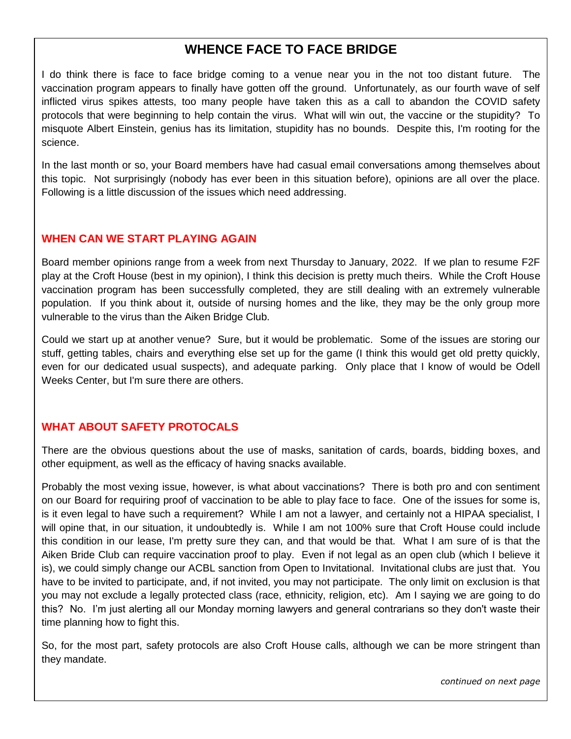# **WHENCE FACE TO FACE BRIDGE**

I do think there is face to face bridge coming to a venue near you in the not too distant future. The vaccination program appears to finally have gotten off the ground. Unfortunately, as our fourth wave of self inflicted virus spikes attests, too many people have taken this as a call to abandon the COVID safety protocols that were beginning to help contain the virus. What will win out, the vaccine or the stupidity? To misquote Albert Einstein, genius has its limitation, stupidity has no bounds. Despite this, I'm rooting for the science.

In the last month or so, your Board members have had casual email conversations among themselves about this topic. Not surprisingly (nobody has ever been in this situation before), opinions are all over the place. Following is a little discussion of the issues which need addressing.

#### **WHEN CAN WE START PLAYING AGAIN**

Board member opinions range from a week from next Thursday to January, 2022. If we plan to resume F2F play at the Croft House (best in my opinion), I think this decision is pretty much theirs. While the Croft House vaccination program has been successfully completed, they are still dealing with an extremely vulnerable population. If you think about it, outside of nursing homes and the like, they may be the only group more vulnerable to the virus than the Aiken Bridge Club.

Could we start up at another venue? Sure, but it would be problematic. Some of the issues are storing our stuff, getting tables, chairs and everything else set up for the game (I think this would get old pretty quickly, even for our dedicated usual suspects), and adequate parking. Only place that I know of would be Odell Weeks Center, but I'm sure there are others.

# **WHAT ABOUT SAFETY PROTOCALS**

There are the obvious questions about the use of masks, sanitation of cards, boards, bidding boxes, and other equipment, as well as the efficacy of having snacks available.

Probably the most vexing issue, however, is what about vaccinations? There is both pro and con sentiment on our Board for requiring proof of vaccination to be able to play face to face. One of the issues for some is, is it even legal to have such a requirement? While I am not a lawyer, and certainly not a HIPAA specialist, I will opine that, in our situation, it undoubtedly is. While I am not 100% sure that Croft House could include this condition in our lease, I'm pretty sure they can, and that would be that. What I am sure of is that the Aiken Bride Club can require vaccination proof to play. Even if not legal as an open club (which I believe it is), we could simply change our ACBL sanction from Open to Invitational. Invitational clubs are just that. You have to be invited to participate, and, if not invited, you may not participate. The only limit on exclusion is that you may not exclude a legally protected class (race, ethnicity, religion, etc). Am I saying we are going to do this? No. I'm just alerting all our Monday morning lawyers and general contrarians so they don't waste their time planning how to fight this.

So, for the most part, safety protocols are also Croft House calls, although we can be more stringent than they mandate.